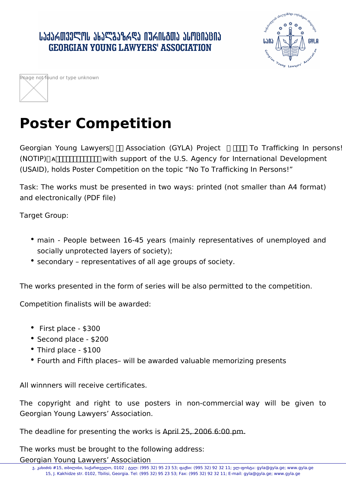## ․ ԱՆՅՆՃᲗᲕᲔᲚᲝᲡ ᲐᲮᲐᲚᲒᲐᲖᲠᲓᲐ ᲘᲣᲠᲘᲡᲒᲗᲐ ᲐᲡᲝᲪᲘᲐᲪᲘᲐ **GEORGIAN YOUNG LAWYERS' ASSOCIATION**



| Image not found or type unknown |  |
|---------------------------------|--|
|                                 |  |
|                                 |  |

## **Poster Competition**

Georgian Young Lawyers  $\Box$  Association (GYLA) Project  $\Box$  To Trafficking In persons! (NOTIP) ᴀꀀ椀洀瀀氀攀洀攀渀琀攀搀 with support of the U.S. Agency for International Development (USAID), holds Poster Competition on the topic "No To Trafficking In Persons!"

Task: The works must be presented in two ways: printed (not smaller than A4 format) and electronically (PDF file)

Target Group:

- main People between 16-45 years (mainly representatives of unemployed and socially unprotected layers of society);
- secondary representatives of all age groups of society.

The works presented in the form of series will be also permitted to the competition.

Competition finalists will be awarded:

- First place \$300
- Second place \$200
- Third place \$100
- Fourth and Fifth places– will be awarded valuable memorizing presents

All winnners will receive certificates.

The copyright and right to use posters in non-commercial way will be given to Georgian Young Lawyers' Association.

The deadline for presenting the works is April 25, 2006 6:00 pm.

The works must be brought to the following address:

Georgian Young Lawyers' Association